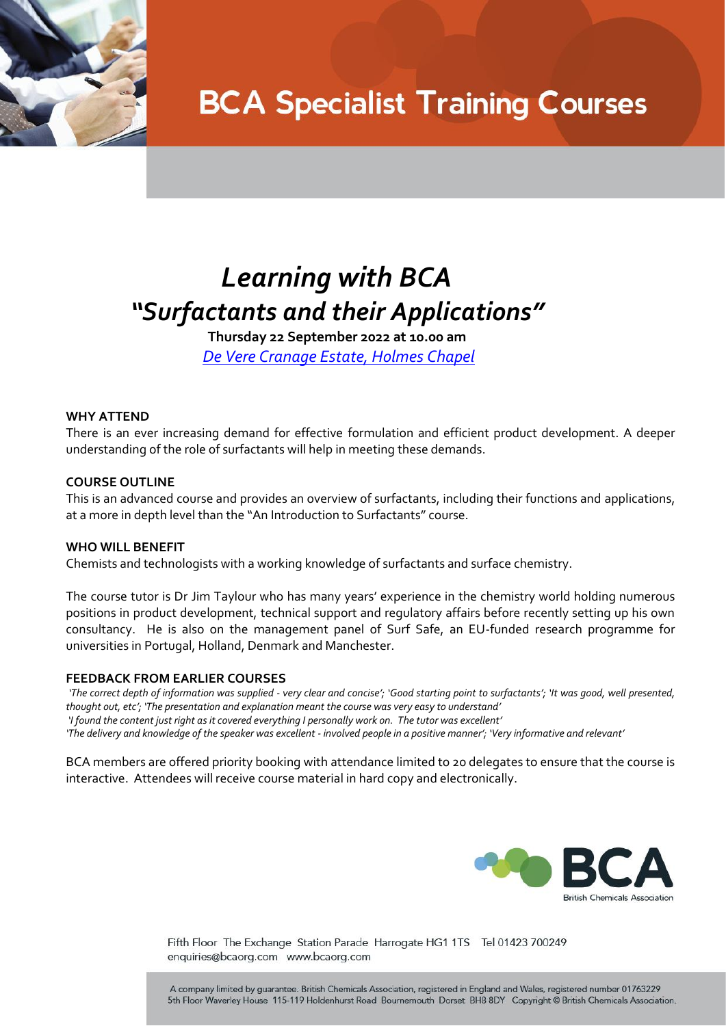

## **BCA Specialist Training Courses**

### *Learning with BCA "Surfactants and their Applications"*

**Thursday 22 September 2022 at 10.00 am** *[De Vere Cranage Estate, Holmes Chapel](https://www.devere.co.uk/cranage-estate/)*

### **WHY ATTEND**

There is an ever increasing demand for effective formulation and efficient product development. A deeper understanding of the role of surfactants will help in meeting these demands.

### **COURSE OUTLINE**

This is an advanced course and provides an overview of surfactants, including their functions and applications, at a more in depth level than the "An Introduction to Surfactants" course.

#### **WHO WILL BENEFIT**

Chemists and technologists with a working knowledge of surfactants and surface chemistry.

The course tutor is Dr Jim Taylour who has many years' experience in the chemistry world holding numerous positions in product development, technical support and regulatory affairs before recently setting up his own consultancy. He is also on the management panel of Surf Safe, an EU-funded research programme for universities in Portugal, Holland, Denmark and Manchester.

#### **FEEDBACK FROM EARLIER COURSES**

*'The correct depth of information was supplied - very clear and concise'; 'Good starting point to surfactants'; 'It was good, well presented, thought out, etc'; 'The presentation and explanation meant the course was very easy to understand' 'I found the content just right as it covered everything I personally work on. The tutor was excellent' 'The delivery and knowledge of the speaker was excellent - involved people in a positive manner'; 'Very informative and relevant'*

BCA members are offered priority booking with attendance limited to 20 delegates to ensure that the course is interactive. Attendees will receive course material in hard copy and electronically.



Fifth Floor The Exchange Station Parade Harrogate HG1 1TS Tel 01423 700249 enquiries@bcaorg.com www.bcaorg.com

A company limited by guarantee. British Chemicals Association, registered in England and Wales, registered number 01763229 5th Floor Waverley House 115-119 Holdenhurst Road Bournemouth Dorset BH8 8DY Copyright @ British Chemicals Association.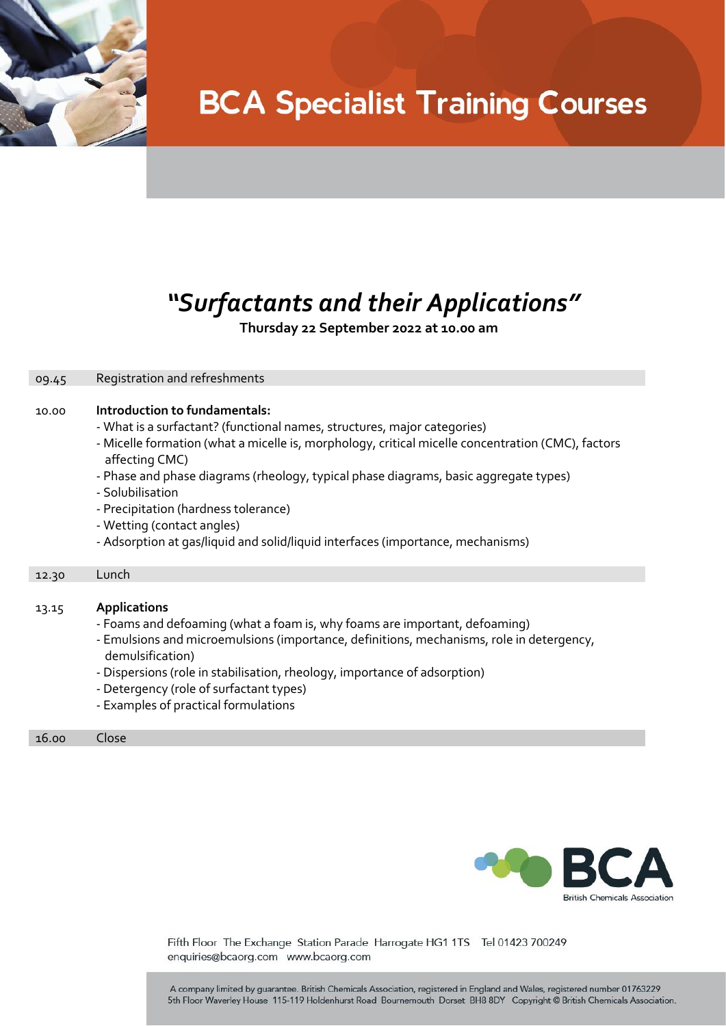

# **BCA Specialist Training Courses**

### *"Surfactants and their Applications"*

 **Thursday 22 September 2022 at 10.00 am**

| 09.45 | Registration and refreshments                                                                                                                                                                                                                                                                                                                                                                                                                                                                         |  |
|-------|-------------------------------------------------------------------------------------------------------------------------------------------------------------------------------------------------------------------------------------------------------------------------------------------------------------------------------------------------------------------------------------------------------------------------------------------------------------------------------------------------------|--|
| 10.00 | Introduction to fundamentals:<br>- What is a surfactant? (functional names, structures, major categories)<br>- Micelle formation (what a micelle is, morphology, critical micelle concentration (CMC), factors<br>affecting CMC)<br>- Phase and phase diagrams (rheology, typical phase diagrams, basic aggregate types)<br>- Solubilisation<br>- Precipitation (hardness tolerance)<br>- Wetting (contact angles)<br>- Adsorption at gas/liquid and solid/liquid interfaces (importance, mechanisms) |  |
| 12.30 | Lunch                                                                                                                                                                                                                                                                                                                                                                                                                                                                                                 |  |
|       |                                                                                                                                                                                                                                                                                                                                                                                                                                                                                                       |  |
| 13.15 | <b>Applications</b><br>- Foams and defoaming (what a foam is, why foams are important, defoaming)<br>- Emulsions and microemulsions (importance, definitions, mechanisms, role in detergency,<br>demulsification)<br>- Dispersions (role in stabilisation, rheology, importance of adsorption)<br>- Detergency (role of surfactant types)<br>- Examples of practical formulations                                                                                                                     |  |
| 16.00 | Close                                                                                                                                                                                                                                                                                                                                                                                                                                                                                                 |  |



Fifth Floor The Exchange Station Parade Harrogate HG1 1TS Tel 01423 700249 enquiries@bcaorg.com www.bcaorg.com

A company limited by guarantee. British Chemicals Association, registered in England and Wales, registered number 01763229 5th Floor Waverley House 115-119 Holdenhurst Road Bournemouth Dorset BH8 8DY Copyright @ British Chemicals Association.